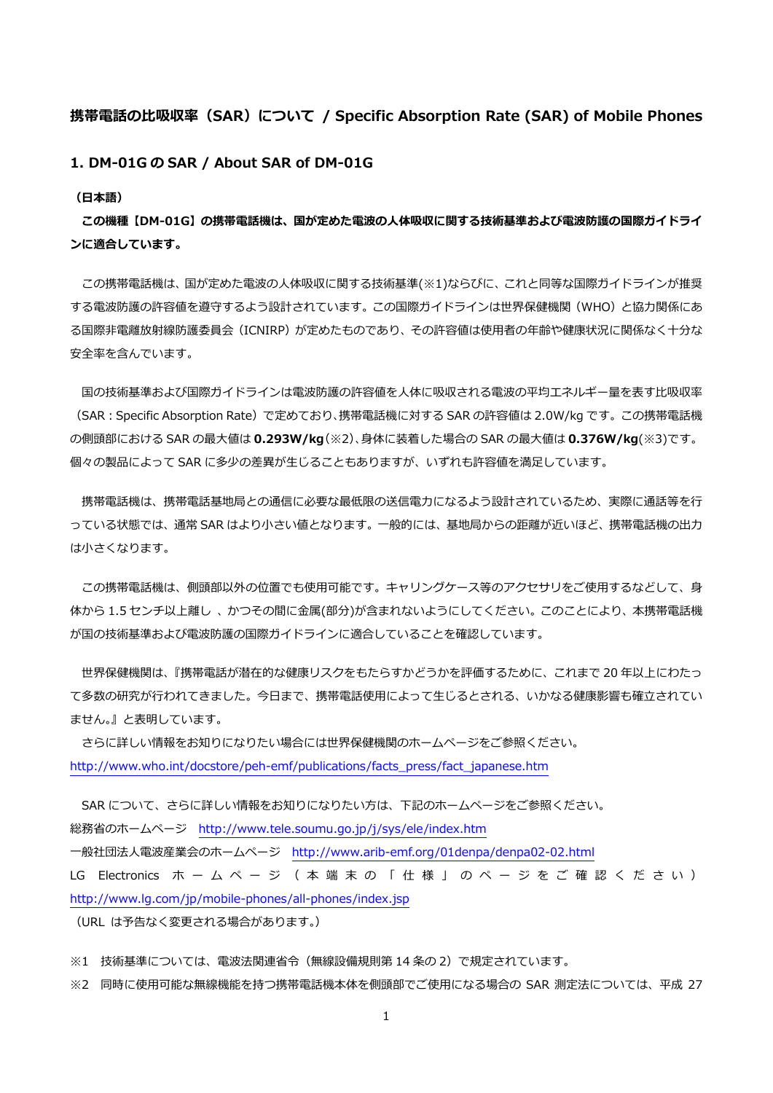# **携帯電話の⽐吸収率(SAR)について / Specific Absorption Rate (SAR) of Mobile Phones**

**1. DM-01G の SAR / About SAR of DM-01G** 

**(⽇本語)** 

**この機種【DM-01G】の携帯電話機は、国が定めた電波の⼈体吸収に関する技術基準および電波防護の国際ガイドライ ンに適合しています。** 

この携帯電話機は、国が定めた電波の人体吸収に関する技術基準(※1)ならびに、これと同等な国際ガイドラインが推奨 する電波防護の許容値を遵守するよう設計されています。この国際ガイドラインは世界保健機関(WHO)と協⼒関係にあ る国際非電離放射線防護委員会(ICNIRP)が定めたものであり、その許容値は使用者の年齢や健康状況に関係なく十分な 安全率を含んでいます。

国の技術基準および国際ガイドラインは電波防護の許容値を人体に吸収される電波の平均エネルギー量を表す比吸収率 (SAR:Specific Absorption Rate)で定めており、携帯電話機に対する SAR の許容値は 2.0W/kg です。この携帯電話機 の側頭部における SAR の最⼤値は **0.293W/kg**(※2)、⾝体に装着した場合の SAR の最⼤値は **0.376W/kg**(※3)です。 個々の製品によって SAR に多少の差異が⽣じることもありますが、いずれも許容値を満⾜しています。

携帯電話機は、携帯電話基地局との通信に必要な最低限の送信電力になるよう設計されているため、実際に通話等を行 っている状態では、通常 SAR はより小さい値となります。一般的には、基地局からの距離が近いほど、携帯電話機の出力 は⼩さくなります。

この携帯電話機は、側頭部以外の位置でも使用可能です。キャリングケース等のアクセサリをご使用するなどして、身 体から 1.5 センチ以上離し、かつその間に金属(部分)が含まれないようにしてください。このことにより、本携帯電話機 が国の技術基準および電波防護の国際ガイドラインに適合していることを確認しています。

 世界保健機関は、『携帯電話が潜在的な健康リスクをもたらすかどうかを評価するために、これまで 20 年以上にわたっ て多数の研究が⾏われてきました。今⽇まで、携帯電話使⽤によって⽣じるとされる、いかなる健康影響も確⽴されてい ません。』と表明しています。

 さらに詳しい情報をお知りになりたい場合には世界保健機関のホームページをご参照ください。 http://www.who.int/docstore/peh-emf/publications/facts\_press/fact\_japanese.htm

SAR について、さらに詳しい情報をお知りになりたい方は、下記のホームページをご参照ください。 総務省のホームページ http://www.tele.soumu.go.jp/j/sys/ele/index.htm ⼀般社団法⼈電波産業会のホームページ http://www.arib-emf.org/01denpa/denpa02-02.html LG Electronics ホ ー ム ペ ー ジ ( 本 端 末 の 「 仕 様 」 の ペ ー ジ を ご 確 認 く だ さ い )

(URL は予告なく変更される場合があります。)

http://www.lg.com/jp/mobile-phones/all-phones/index.jsp

※1 技術基準については、電波法関連省令(無線設備規則第 14 条の 2)で規定されています。

※2 同時に使⽤可能な無線機能を持つ携帯電話機本体を側頭部でご使⽤になる場合の SAR 測定法については、平成 27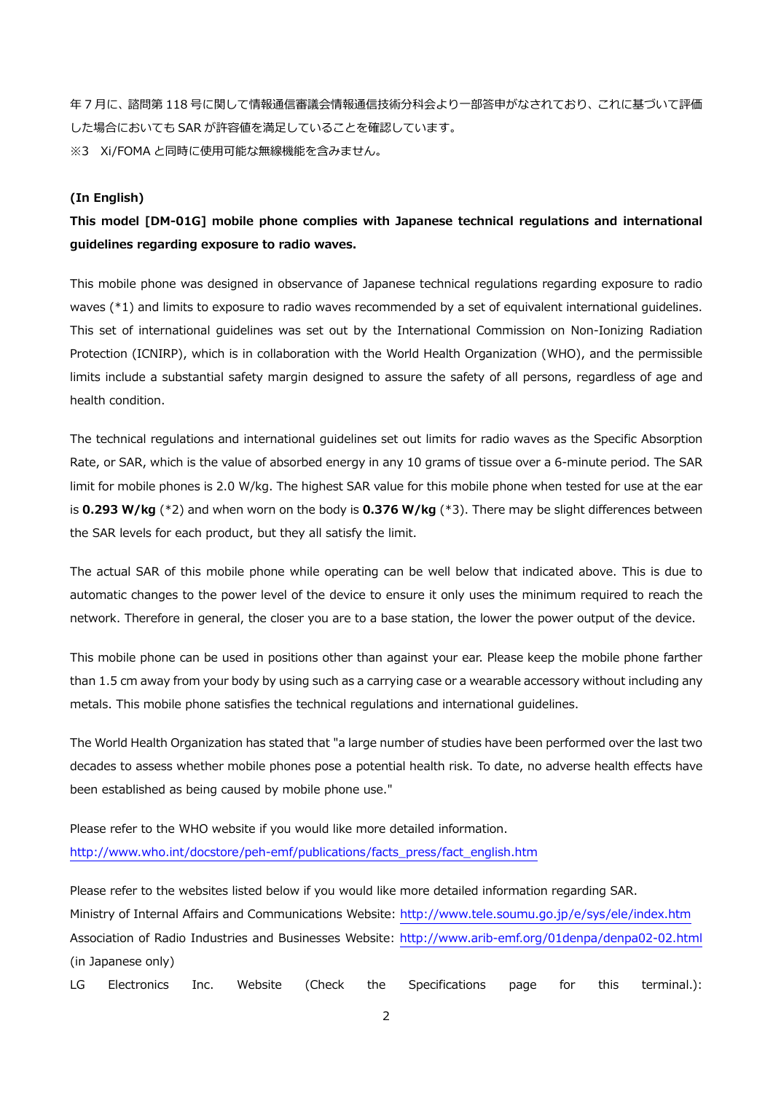年 7 月に、諮問第 118 号に関して情報通信審議会情報通信技術分科会より一部答申がなされており、これに基づいて評価 した場合においても SAR が許容値を満⾜していることを確認しています。 ※3 Xi/FOMA と同時に使用可能な無線機能を含みません。

#### **(In English)**

**This model [DM-01G] mobile phone complies with Japanese technical regulations and international guidelines regarding exposure to radio waves.** 

This mobile phone was designed in observance of Japanese technical regulations regarding exposure to radio waves (\*1) and limits to exposure to radio waves recommended by a set of equivalent international guidelines. This set of international guidelines was set out by the International Commission on Non-Ionizing Radiation Protection (ICNIRP), which is in collaboration with the World Health Organization (WHO), and the permissible limits include a substantial safety margin designed to assure the safety of all persons, regardless of age and health condition.

The technical regulations and international guidelines set out limits for radio waves as the Specific Absorption Rate, or SAR, which is the value of absorbed energy in any 10 grams of tissue over a 6-minute period. The SAR limit for mobile phones is 2.0 W/kg. The highest SAR value for this mobile phone when tested for use at the ear is **0.293 W/kg** (\*2) and when worn on the body is **0.376 W/kg** (\*3). There may be slight differences between the SAR levels for each product, but they all satisfy the limit.

The actual SAR of this mobile phone while operating can be well below that indicated above. This is due to automatic changes to the power level of the device to ensure it only uses the minimum required to reach the network. Therefore in general, the closer you are to a base station, the lower the power output of the device.

This mobile phone can be used in positions other than against your ear. Please keep the mobile phone farther than 1.5 cm away from your body by using such as a carrying case or a wearable accessory without including any metals. This mobile phone satisfies the technical regulations and international guidelines.

The World Health Organization has stated that "a large number of studies have been performed over the last two decades to assess whether mobile phones pose a potential health risk. To date, no adverse health effects have been established as being caused by mobile phone use."

Please refer to the WHO website if you would like more detailed information. http://www.who.int/docstore/peh-emf/publications/facts\_press/fact\_english.htm

Please refer to the websites listed below if you would like more detailed information regarding SAR. Ministry of Internal Affairs and Communications Website: http://www.tele.soumu.go.jp/e/sys/ele/index.htm Association of Radio Industries and Businesses Website: http://www.arib-emf.org/01denpa/denpa02-02.html (in Japanese only)

LG Electronics Inc. Website (Check the Specifications page for this terminal.):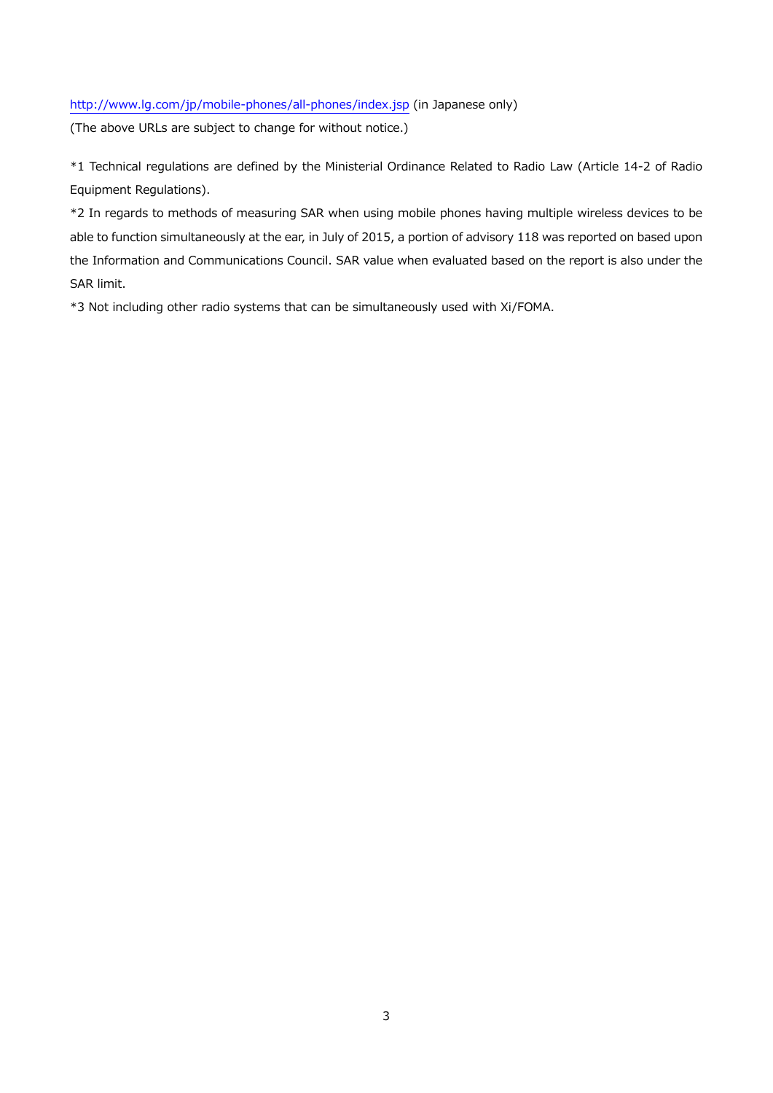# http://www.lg.com/jp/mobile-phones/all-phones/index.jsp (in Japanese only)

(The above URLs are subject to change for without notice.)

\*1 Technical regulations are defined by the Ministerial Ordinance Related to Radio Law (Article 14-2 of Radio Equipment Regulations).

\*2 In regards to methods of measuring SAR when using mobile phones having multiple wireless devices to be able to function simultaneously at the ear, in July of 2015, a portion of advisory 118 was reported on based upon the Information and Communications Council. SAR value when evaluated based on the report is also under the SAR limit.

\*3 Not including other radio systems that can be simultaneously used with Xi/FOMA.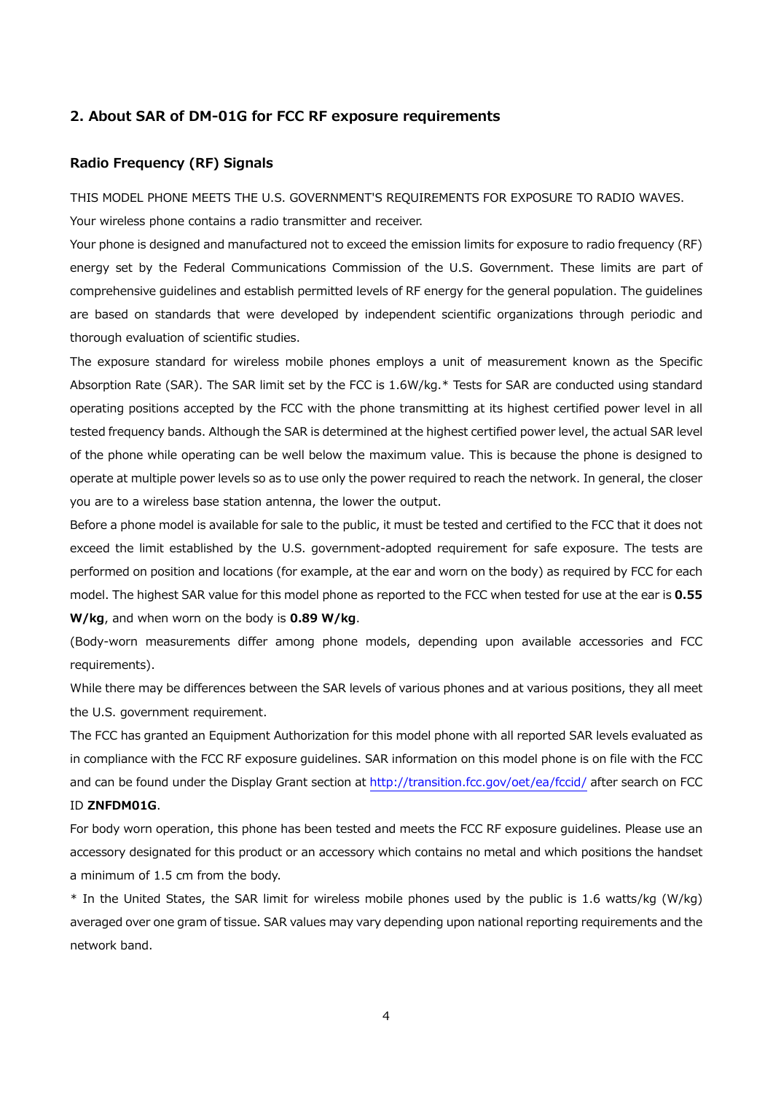### **2. About SAR of DM-01G for FCC RF exposure requirements**

## **Radio Frequency (RF) Signals**

THIS MODEL PHONE MEETS THE U.S. GOVERNMENT'S REQUIREMENTS FOR EXPOSURE TO RADIO WAVES. Your wireless phone contains a radio transmitter and receiver.

Your phone is designed and manufactured not to exceed the emission limits for exposure to radio frequency (RF) energy set by the Federal Communications Commission of the U.S. Government. These limits are part of comprehensive guidelines and establish permitted levels of RF energy for the general population. The guidelines are based on standards that were developed by independent scientific organizations through periodic and thorough evaluation of scientific studies.

The exposure standard for wireless mobile phones employs a unit of measurement known as the Specific Absorption Rate (SAR). The SAR limit set by the FCC is 1.6W/kg.\* Tests for SAR are conducted using standard operating positions accepted by the FCC with the phone transmitting at its highest certified power level in all tested frequency bands. Although the SAR is determined at the highest certified power level, the actual SAR level of the phone while operating can be well below the maximum value. This is because the phone is designed to operate at multiple power levels so as to use only the power required to reach the network. In general, the closer you are to a wireless base station antenna, the lower the output.

Before a phone model is available for sale to the public, it must be tested and certified to the FCC that it does not exceed the limit established by the U.S. government-adopted requirement for safe exposure. The tests are performed on position and locations (for example, at the ear and worn on the body) as required by FCC for each model. The highest SAR value for this model phone as reported to the FCC when tested for use at the ear is **0.55 W/kg**, and when worn on the body is **0.89 W/kg**.

(Body-worn measurements differ among phone models, depending upon available accessories and FCC requirements).

While there may be differences between the SAR levels of various phones and at various positions, they all meet the U.S. government requirement.

The FCC has granted an Equipment Authorization for this model phone with all reported SAR levels evaluated as in compliance with the FCC RF exposure guidelines. SAR information on this model phone is on file with the FCC and can be found under the Display Grant section at http://transition.fcc.gov/oet/ea/fccid/ after search on FCC ID **ZNFDM01G**.

For body worn operation, this phone has been tested and meets the FCC RF exposure guidelines. Please use an accessory designated for this product or an accessory which contains no metal and which positions the handset a minimum of 1.5 cm from the body.

\* In the United States, the SAR limit for wireless mobile phones used by the public is 1.6 watts/kg (W/kg) averaged over one gram of tissue. SAR values may vary depending upon national reporting requirements and the network band.